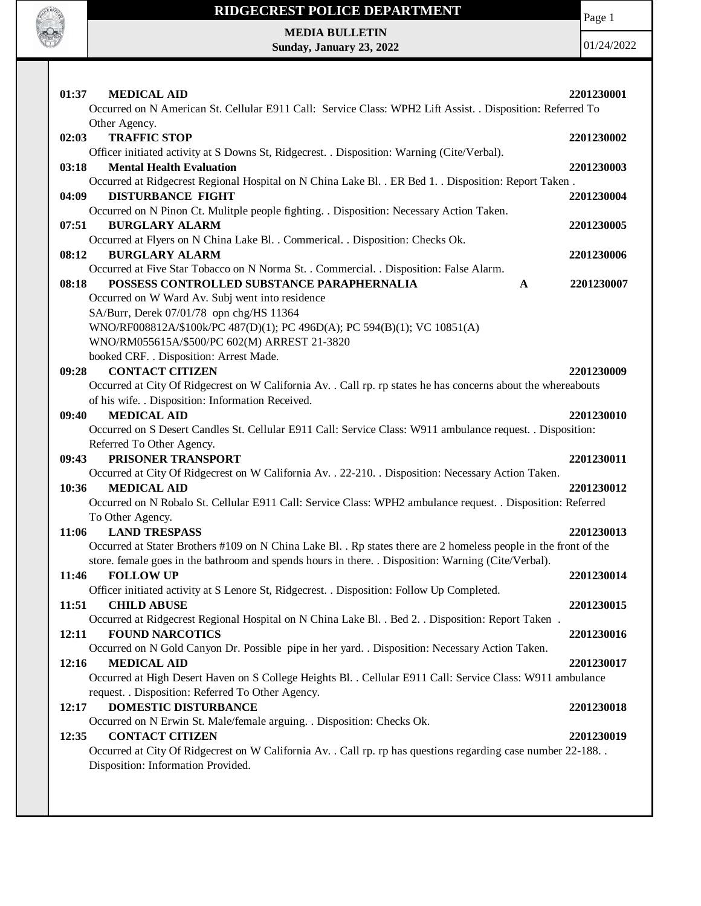

## **RIDGECREST POLICE DEPARTMENT**

Page 1

**MEDIA BULLETIN Sunday, January 23, 2022**

01/24/2022

| 02:03<br><b>TRAFFIC STOP</b><br>2201230002<br>Officer initiated activity at S Downs St, Ridgecrest. . Disposition: Warning (Cite/Verbal).<br>03:18<br><b>Mental Health Evaluation</b><br>2201230003<br>Occurred at Ridgecrest Regional Hospital on N China Lake Bl. . ER Bed 1. . Disposition: Report Taken.<br><b>DISTURBANCE FIGHT</b><br>04:09<br>2201230004<br>Occurred on N Pinon Ct. Mulitple people fighting. . Disposition: Necessary Action Taken.<br>07:51<br><b>BURGLARY ALARM</b><br>2201230005<br>Occurred at Flyers on N China Lake Bl. . Commerical. . Disposition: Checks Ok.<br>08:12<br><b>BURGLARY ALARM</b><br>2201230006<br>Occurred at Five Star Tobacco on N Norma St. . Commercial. . Disposition: False Alarm.<br>POSSESS CONTROLLED SUBSTANCE PARAPHERNALIA<br>08:18<br>2201230007<br>$\mathbf A$<br>Occurred on W Ward Av. Subj went into residence<br>SA/Burr, Derek 07/01/78 opn chg/HS 11364<br>WNO/RF008812A/\$100k/PC 487(D)(1); PC 496D(A); PC 594(B)(1); VC 10851(A)<br>WNO/RM055615A/\$500/PC 602(M) ARREST 21-3820<br>booked CRF. . Disposition: Arrest Made.<br><b>CONTACT CITIZEN</b><br>09:28<br>2201230009<br>Occurred at City Of Ridgecrest on W California Av. . Call rp. rp states he has concerns about the whereabouts<br>of his wife. . Disposition: Information Received.<br><b>MEDICAL AID</b><br>09:40<br>2201230010<br>Occurred on S Desert Candles St. Cellular E911 Call: Service Class: W911 ambulance request. . Disposition:<br>Referred To Other Agency.<br>PRISONER TRANSPORT<br>09:43<br>2201230011<br>Occurred at City Of Ridgecrest on W California Av. . 22-210. . Disposition: Necessary Action Taken.<br><b>MEDICAL AID</b><br>10:36<br>2201230012<br>Occurred on N Robalo St. Cellular E911 Call: Service Class: WPH2 ambulance request. . Disposition: Referred<br>To Other Agency.<br>11:06<br><b>LAND TRESPASS</b><br>2201230013<br>Occurred at Stater Brothers #109 on N China Lake Bl. . Rp states there are 2 homeless people in the front of the<br>store. female goes in the bathroom and spends hours in there. . Disposition: Warning (Cite/Verbal).<br>11:46<br><b>FOLLOW UP</b><br>2201230014<br>Officer initiated activity at S Lenore St, Ridgecrest. . Disposition: Follow Up Completed.<br><b>CHILD ABUSE</b><br>2201230015<br>11:51<br>Occurred at Ridgecrest Regional Hospital on N China Lake Bl. . Bed 2. . Disposition: Report Taken.<br>12:11<br><b>FOUND NARCOTICS</b><br>2201230016<br>Occurred on N Gold Canyon Dr. Possible pipe in her yard. . Disposition: Necessary Action Taken.<br>12:16<br><b>MEDICAL AID</b><br>2201230017<br>Occurred at High Desert Haven on S College Heights Bl. . Cellular E911 Call: Service Class: W911 ambulance<br>request. . Disposition: Referred To Other Agency.<br><b>DOMESTIC DISTURBANCE</b><br>12:17<br>2201230018 | <b>MEDICAL AID</b><br>01:37<br>Occurred on N American St. Cellular E911 Call: Service Class: WPH2 Lift Assist. . Disposition: Referred To<br>Other Agency. | 2201230001 |
|------------------------------------------------------------------------------------------------------------------------------------------------------------------------------------------------------------------------------------------------------------------------------------------------------------------------------------------------------------------------------------------------------------------------------------------------------------------------------------------------------------------------------------------------------------------------------------------------------------------------------------------------------------------------------------------------------------------------------------------------------------------------------------------------------------------------------------------------------------------------------------------------------------------------------------------------------------------------------------------------------------------------------------------------------------------------------------------------------------------------------------------------------------------------------------------------------------------------------------------------------------------------------------------------------------------------------------------------------------------------------------------------------------------------------------------------------------------------------------------------------------------------------------------------------------------------------------------------------------------------------------------------------------------------------------------------------------------------------------------------------------------------------------------------------------------------------------------------------------------------------------------------------------------------------------------------------------------------------------------------------------------------------------------------------------------------------------------------------------------------------------------------------------------------------------------------------------------------------------------------------------------------------------------------------------------------------------------------------------------------------------------------------------------------------------------------------------------------------------------------------------------------------------------------------------------------------------------------------------------------------------------------------------------------------------------------------------------------------------------------------------------------------------------------------------------------------------------------------|------------------------------------------------------------------------------------------------------------------------------------------------------------|------------|
|                                                                                                                                                                                                                                                                                                                                                                                                                                                                                                                                                                                                                                                                                                                                                                                                                                                                                                                                                                                                                                                                                                                                                                                                                                                                                                                                                                                                                                                                                                                                                                                                                                                                                                                                                                                                                                                                                                                                                                                                                                                                                                                                                                                                                                                                                                                                                                                                                                                                                                                                                                                                                                                                                                                                                                                                                                                      |                                                                                                                                                            |            |
|                                                                                                                                                                                                                                                                                                                                                                                                                                                                                                                                                                                                                                                                                                                                                                                                                                                                                                                                                                                                                                                                                                                                                                                                                                                                                                                                                                                                                                                                                                                                                                                                                                                                                                                                                                                                                                                                                                                                                                                                                                                                                                                                                                                                                                                                                                                                                                                                                                                                                                                                                                                                                                                                                                                                                                                                                                                      |                                                                                                                                                            |            |
|                                                                                                                                                                                                                                                                                                                                                                                                                                                                                                                                                                                                                                                                                                                                                                                                                                                                                                                                                                                                                                                                                                                                                                                                                                                                                                                                                                                                                                                                                                                                                                                                                                                                                                                                                                                                                                                                                                                                                                                                                                                                                                                                                                                                                                                                                                                                                                                                                                                                                                                                                                                                                                                                                                                                                                                                                                                      |                                                                                                                                                            |            |
|                                                                                                                                                                                                                                                                                                                                                                                                                                                                                                                                                                                                                                                                                                                                                                                                                                                                                                                                                                                                                                                                                                                                                                                                                                                                                                                                                                                                                                                                                                                                                                                                                                                                                                                                                                                                                                                                                                                                                                                                                                                                                                                                                                                                                                                                                                                                                                                                                                                                                                                                                                                                                                                                                                                                                                                                                                                      |                                                                                                                                                            |            |
|                                                                                                                                                                                                                                                                                                                                                                                                                                                                                                                                                                                                                                                                                                                                                                                                                                                                                                                                                                                                                                                                                                                                                                                                                                                                                                                                                                                                                                                                                                                                                                                                                                                                                                                                                                                                                                                                                                                                                                                                                                                                                                                                                                                                                                                                                                                                                                                                                                                                                                                                                                                                                                                                                                                                                                                                                                                      |                                                                                                                                                            |            |
|                                                                                                                                                                                                                                                                                                                                                                                                                                                                                                                                                                                                                                                                                                                                                                                                                                                                                                                                                                                                                                                                                                                                                                                                                                                                                                                                                                                                                                                                                                                                                                                                                                                                                                                                                                                                                                                                                                                                                                                                                                                                                                                                                                                                                                                                                                                                                                                                                                                                                                                                                                                                                                                                                                                                                                                                                                                      |                                                                                                                                                            |            |
|                                                                                                                                                                                                                                                                                                                                                                                                                                                                                                                                                                                                                                                                                                                                                                                                                                                                                                                                                                                                                                                                                                                                                                                                                                                                                                                                                                                                                                                                                                                                                                                                                                                                                                                                                                                                                                                                                                                                                                                                                                                                                                                                                                                                                                                                                                                                                                                                                                                                                                                                                                                                                                                                                                                                                                                                                                                      |                                                                                                                                                            |            |
|                                                                                                                                                                                                                                                                                                                                                                                                                                                                                                                                                                                                                                                                                                                                                                                                                                                                                                                                                                                                                                                                                                                                                                                                                                                                                                                                                                                                                                                                                                                                                                                                                                                                                                                                                                                                                                                                                                                                                                                                                                                                                                                                                                                                                                                                                                                                                                                                                                                                                                                                                                                                                                                                                                                                                                                                                                                      |                                                                                                                                                            |            |
|                                                                                                                                                                                                                                                                                                                                                                                                                                                                                                                                                                                                                                                                                                                                                                                                                                                                                                                                                                                                                                                                                                                                                                                                                                                                                                                                                                                                                                                                                                                                                                                                                                                                                                                                                                                                                                                                                                                                                                                                                                                                                                                                                                                                                                                                                                                                                                                                                                                                                                                                                                                                                                                                                                                                                                                                                                                      |                                                                                                                                                            |            |
|                                                                                                                                                                                                                                                                                                                                                                                                                                                                                                                                                                                                                                                                                                                                                                                                                                                                                                                                                                                                                                                                                                                                                                                                                                                                                                                                                                                                                                                                                                                                                                                                                                                                                                                                                                                                                                                                                                                                                                                                                                                                                                                                                                                                                                                                                                                                                                                                                                                                                                                                                                                                                                                                                                                                                                                                                                                      |                                                                                                                                                            |            |
|                                                                                                                                                                                                                                                                                                                                                                                                                                                                                                                                                                                                                                                                                                                                                                                                                                                                                                                                                                                                                                                                                                                                                                                                                                                                                                                                                                                                                                                                                                                                                                                                                                                                                                                                                                                                                                                                                                                                                                                                                                                                                                                                                                                                                                                                                                                                                                                                                                                                                                                                                                                                                                                                                                                                                                                                                                                      |                                                                                                                                                            |            |
|                                                                                                                                                                                                                                                                                                                                                                                                                                                                                                                                                                                                                                                                                                                                                                                                                                                                                                                                                                                                                                                                                                                                                                                                                                                                                                                                                                                                                                                                                                                                                                                                                                                                                                                                                                                                                                                                                                                                                                                                                                                                                                                                                                                                                                                                                                                                                                                                                                                                                                                                                                                                                                                                                                                                                                                                                                                      |                                                                                                                                                            |            |
|                                                                                                                                                                                                                                                                                                                                                                                                                                                                                                                                                                                                                                                                                                                                                                                                                                                                                                                                                                                                                                                                                                                                                                                                                                                                                                                                                                                                                                                                                                                                                                                                                                                                                                                                                                                                                                                                                                                                                                                                                                                                                                                                                                                                                                                                                                                                                                                                                                                                                                                                                                                                                                                                                                                                                                                                                                                      |                                                                                                                                                            |            |
|                                                                                                                                                                                                                                                                                                                                                                                                                                                                                                                                                                                                                                                                                                                                                                                                                                                                                                                                                                                                                                                                                                                                                                                                                                                                                                                                                                                                                                                                                                                                                                                                                                                                                                                                                                                                                                                                                                                                                                                                                                                                                                                                                                                                                                                                                                                                                                                                                                                                                                                                                                                                                                                                                                                                                                                                                                                      |                                                                                                                                                            |            |
|                                                                                                                                                                                                                                                                                                                                                                                                                                                                                                                                                                                                                                                                                                                                                                                                                                                                                                                                                                                                                                                                                                                                                                                                                                                                                                                                                                                                                                                                                                                                                                                                                                                                                                                                                                                                                                                                                                                                                                                                                                                                                                                                                                                                                                                                                                                                                                                                                                                                                                                                                                                                                                                                                                                                                                                                                                                      |                                                                                                                                                            |            |
|                                                                                                                                                                                                                                                                                                                                                                                                                                                                                                                                                                                                                                                                                                                                                                                                                                                                                                                                                                                                                                                                                                                                                                                                                                                                                                                                                                                                                                                                                                                                                                                                                                                                                                                                                                                                                                                                                                                                                                                                                                                                                                                                                                                                                                                                                                                                                                                                                                                                                                                                                                                                                                                                                                                                                                                                                                                      |                                                                                                                                                            |            |
|                                                                                                                                                                                                                                                                                                                                                                                                                                                                                                                                                                                                                                                                                                                                                                                                                                                                                                                                                                                                                                                                                                                                                                                                                                                                                                                                                                                                                                                                                                                                                                                                                                                                                                                                                                                                                                                                                                                                                                                                                                                                                                                                                                                                                                                                                                                                                                                                                                                                                                                                                                                                                                                                                                                                                                                                                                                      |                                                                                                                                                            |            |
|                                                                                                                                                                                                                                                                                                                                                                                                                                                                                                                                                                                                                                                                                                                                                                                                                                                                                                                                                                                                                                                                                                                                                                                                                                                                                                                                                                                                                                                                                                                                                                                                                                                                                                                                                                                                                                                                                                                                                                                                                                                                                                                                                                                                                                                                                                                                                                                                                                                                                                                                                                                                                                                                                                                                                                                                                                                      |                                                                                                                                                            |            |
|                                                                                                                                                                                                                                                                                                                                                                                                                                                                                                                                                                                                                                                                                                                                                                                                                                                                                                                                                                                                                                                                                                                                                                                                                                                                                                                                                                                                                                                                                                                                                                                                                                                                                                                                                                                                                                                                                                                                                                                                                                                                                                                                                                                                                                                                                                                                                                                                                                                                                                                                                                                                                                                                                                                                                                                                                                                      |                                                                                                                                                            |            |
|                                                                                                                                                                                                                                                                                                                                                                                                                                                                                                                                                                                                                                                                                                                                                                                                                                                                                                                                                                                                                                                                                                                                                                                                                                                                                                                                                                                                                                                                                                                                                                                                                                                                                                                                                                                                                                                                                                                                                                                                                                                                                                                                                                                                                                                                                                                                                                                                                                                                                                                                                                                                                                                                                                                                                                                                                                                      |                                                                                                                                                            |            |
|                                                                                                                                                                                                                                                                                                                                                                                                                                                                                                                                                                                                                                                                                                                                                                                                                                                                                                                                                                                                                                                                                                                                                                                                                                                                                                                                                                                                                                                                                                                                                                                                                                                                                                                                                                                                                                                                                                                                                                                                                                                                                                                                                                                                                                                                                                                                                                                                                                                                                                                                                                                                                                                                                                                                                                                                                                                      |                                                                                                                                                            |            |
|                                                                                                                                                                                                                                                                                                                                                                                                                                                                                                                                                                                                                                                                                                                                                                                                                                                                                                                                                                                                                                                                                                                                                                                                                                                                                                                                                                                                                                                                                                                                                                                                                                                                                                                                                                                                                                                                                                                                                                                                                                                                                                                                                                                                                                                                                                                                                                                                                                                                                                                                                                                                                                                                                                                                                                                                                                                      |                                                                                                                                                            |            |
|                                                                                                                                                                                                                                                                                                                                                                                                                                                                                                                                                                                                                                                                                                                                                                                                                                                                                                                                                                                                                                                                                                                                                                                                                                                                                                                                                                                                                                                                                                                                                                                                                                                                                                                                                                                                                                                                                                                                                                                                                                                                                                                                                                                                                                                                                                                                                                                                                                                                                                                                                                                                                                                                                                                                                                                                                                                      |                                                                                                                                                            |            |
|                                                                                                                                                                                                                                                                                                                                                                                                                                                                                                                                                                                                                                                                                                                                                                                                                                                                                                                                                                                                                                                                                                                                                                                                                                                                                                                                                                                                                                                                                                                                                                                                                                                                                                                                                                                                                                                                                                                                                                                                                                                                                                                                                                                                                                                                                                                                                                                                                                                                                                                                                                                                                                                                                                                                                                                                                                                      |                                                                                                                                                            |            |
|                                                                                                                                                                                                                                                                                                                                                                                                                                                                                                                                                                                                                                                                                                                                                                                                                                                                                                                                                                                                                                                                                                                                                                                                                                                                                                                                                                                                                                                                                                                                                                                                                                                                                                                                                                                                                                                                                                                                                                                                                                                                                                                                                                                                                                                                                                                                                                                                                                                                                                                                                                                                                                                                                                                                                                                                                                                      |                                                                                                                                                            |            |
|                                                                                                                                                                                                                                                                                                                                                                                                                                                                                                                                                                                                                                                                                                                                                                                                                                                                                                                                                                                                                                                                                                                                                                                                                                                                                                                                                                                                                                                                                                                                                                                                                                                                                                                                                                                                                                                                                                                                                                                                                                                                                                                                                                                                                                                                                                                                                                                                                                                                                                                                                                                                                                                                                                                                                                                                                                                      |                                                                                                                                                            |            |
|                                                                                                                                                                                                                                                                                                                                                                                                                                                                                                                                                                                                                                                                                                                                                                                                                                                                                                                                                                                                                                                                                                                                                                                                                                                                                                                                                                                                                                                                                                                                                                                                                                                                                                                                                                                                                                                                                                                                                                                                                                                                                                                                                                                                                                                                                                                                                                                                                                                                                                                                                                                                                                                                                                                                                                                                                                                      |                                                                                                                                                            |            |
|                                                                                                                                                                                                                                                                                                                                                                                                                                                                                                                                                                                                                                                                                                                                                                                                                                                                                                                                                                                                                                                                                                                                                                                                                                                                                                                                                                                                                                                                                                                                                                                                                                                                                                                                                                                                                                                                                                                                                                                                                                                                                                                                                                                                                                                                                                                                                                                                                                                                                                                                                                                                                                                                                                                                                                                                                                                      |                                                                                                                                                            |            |
|                                                                                                                                                                                                                                                                                                                                                                                                                                                                                                                                                                                                                                                                                                                                                                                                                                                                                                                                                                                                                                                                                                                                                                                                                                                                                                                                                                                                                                                                                                                                                                                                                                                                                                                                                                                                                                                                                                                                                                                                                                                                                                                                                                                                                                                                                                                                                                                                                                                                                                                                                                                                                                                                                                                                                                                                                                                      |                                                                                                                                                            |            |
|                                                                                                                                                                                                                                                                                                                                                                                                                                                                                                                                                                                                                                                                                                                                                                                                                                                                                                                                                                                                                                                                                                                                                                                                                                                                                                                                                                                                                                                                                                                                                                                                                                                                                                                                                                                                                                                                                                                                                                                                                                                                                                                                                                                                                                                                                                                                                                                                                                                                                                                                                                                                                                                                                                                                                                                                                                                      |                                                                                                                                                            |            |
|                                                                                                                                                                                                                                                                                                                                                                                                                                                                                                                                                                                                                                                                                                                                                                                                                                                                                                                                                                                                                                                                                                                                                                                                                                                                                                                                                                                                                                                                                                                                                                                                                                                                                                                                                                                                                                                                                                                                                                                                                                                                                                                                                                                                                                                                                                                                                                                                                                                                                                                                                                                                                                                                                                                                                                                                                                                      |                                                                                                                                                            |            |
| Occurred on N Erwin St. Male/female arguing. . Disposition: Checks Ok.                                                                                                                                                                                                                                                                                                                                                                                                                                                                                                                                                                                                                                                                                                                                                                                                                                                                                                                                                                                                                                                                                                                                                                                                                                                                                                                                                                                                                                                                                                                                                                                                                                                                                                                                                                                                                                                                                                                                                                                                                                                                                                                                                                                                                                                                                                                                                                                                                                                                                                                                                                                                                                                                                                                                                                               |                                                                                                                                                            |            |
| 12:35<br><b>CONTACT CITIZEN</b><br>2201230019                                                                                                                                                                                                                                                                                                                                                                                                                                                                                                                                                                                                                                                                                                                                                                                                                                                                                                                                                                                                                                                                                                                                                                                                                                                                                                                                                                                                                                                                                                                                                                                                                                                                                                                                                                                                                                                                                                                                                                                                                                                                                                                                                                                                                                                                                                                                                                                                                                                                                                                                                                                                                                                                                                                                                                                                        |                                                                                                                                                            |            |
| Occurred at City Of Ridgecrest on W California Av. . Call rp. rp has questions regarding case number 22-188. .<br>Disposition: Information Provided.                                                                                                                                                                                                                                                                                                                                                                                                                                                                                                                                                                                                                                                                                                                                                                                                                                                                                                                                                                                                                                                                                                                                                                                                                                                                                                                                                                                                                                                                                                                                                                                                                                                                                                                                                                                                                                                                                                                                                                                                                                                                                                                                                                                                                                                                                                                                                                                                                                                                                                                                                                                                                                                                                                 |                                                                                                                                                            |            |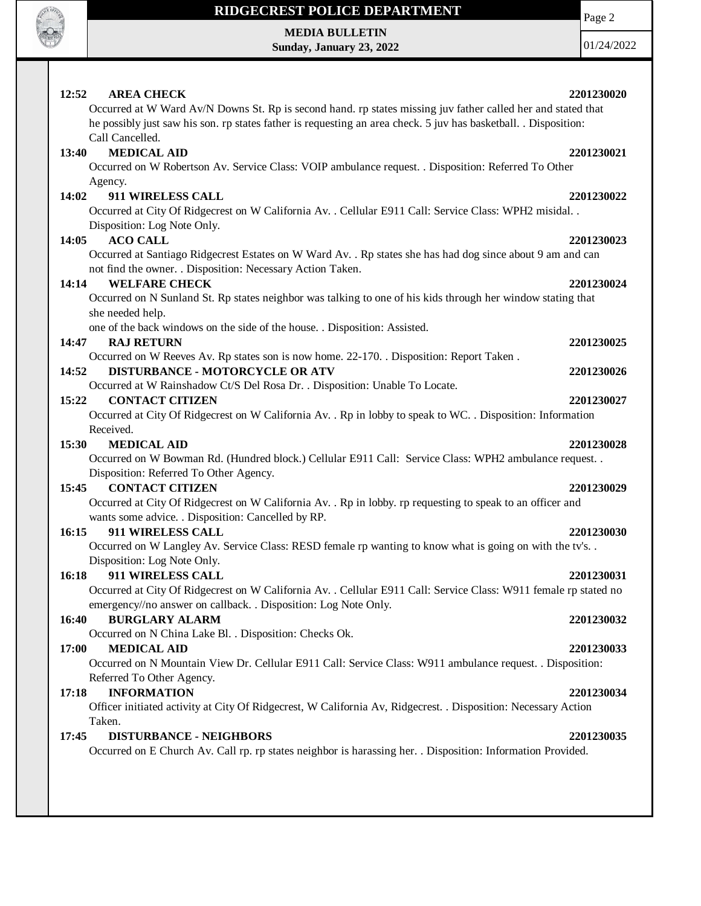

## **RIDGECREST POLICE DEPARTMENT MEDIA BULLETIN**

**Sunday, January 23, 2022**

Page 2

01/24/2022

| 12:52<br><b>AREA CHECK</b><br>2201230020                                                                                               |  |
|----------------------------------------------------------------------------------------------------------------------------------------|--|
| Occurred at W Ward Av/N Downs St. Rp is second hand. rp states missing juv father called her and stated that                           |  |
| he possibly just saw his son. rp states father is requesting an area check. 5 juv has basketball. . Disposition:                       |  |
| Call Cancelled.                                                                                                                        |  |
| <b>MEDICAL AID</b><br>13:40<br>2201230021                                                                                              |  |
| Occurred on W Robertson Av. Service Class: VOIP ambulance request. . Disposition: Referred To Other                                    |  |
| Agency.                                                                                                                                |  |
| 14:02<br>911 WIRELESS CALL<br>2201230022                                                                                               |  |
| Occurred at City Of Ridgecrest on W California Av. . Cellular E911 Call: Service Class: WPH2 misidal. .<br>Disposition: Log Note Only. |  |
| <b>ACO CALL</b><br>14:05<br>2201230023                                                                                                 |  |
| Occurred at Santiago Ridgecrest Estates on W Ward Av. . Rp states she has had dog since about 9 am and can                             |  |
| not find the owner. . Disposition: Necessary Action Taken.                                                                             |  |
| <b>WELFARE CHECK</b><br>14:14<br>2201230024                                                                                            |  |
| Occurred on N Sunland St. Rp states neighbor was talking to one of his kids through her window stating that                            |  |
| she needed help.                                                                                                                       |  |
| one of the back windows on the side of the house. . Disposition: Assisted.                                                             |  |
| <b>RAJ RETURN</b><br>14:47<br>2201230025                                                                                               |  |
| Occurred on W Reeves Av. Rp states son is now home. 22-170. . Disposition: Report Taken.                                               |  |
| <b>DISTURBANCE - MOTORCYCLE OR ATV</b><br>14:52<br>2201230026                                                                          |  |
| Occurred at W Rainshadow Ct/S Del Rosa Dr. . Disposition: Unable To Locate.                                                            |  |
| 15:22<br><b>CONTACT CITIZEN</b><br>2201230027                                                                                          |  |
| Occurred at City Of Ridgecrest on W California Av. . Rp in lobby to speak to WC. . Disposition: Information                            |  |
| Received.                                                                                                                              |  |
| 15:30<br><b>MEDICAL AID</b><br>2201230028                                                                                              |  |
| Occurred on W Bowman Rd. (Hundred block.) Cellular E911 Call: Service Class: WPH2 ambulance request. .                                 |  |
| Disposition: Referred To Other Agency.                                                                                                 |  |
| <b>CONTACT CITIZEN</b><br>15:45<br>2201230029                                                                                          |  |
| Occurred at City Of Ridgecrest on W California Av. . Rp in lobby. rp requesting to speak to an officer and                             |  |
| wants some advice. . Disposition: Cancelled by RP.                                                                                     |  |
| 911 WIRELESS CALL<br>16:15<br>2201230030                                                                                               |  |
| Occurred on W Langley Av. Service Class: RESD female rp wanting to know what is going on with the tv's                                 |  |
| Disposition: Log Note Only.                                                                                                            |  |
| 16:18<br>911 WIRELESS CALL<br>2201230031                                                                                               |  |
| Occurred at City Of Ridgecrest on W California Av. . Cellular E911 Call: Service Class: W911 female rp stated no                       |  |
| emergency//no answer on callback. . Disposition: Log Note Only.                                                                        |  |
| <b>BURGLARY ALARM</b><br>16:40<br>2201230032                                                                                           |  |
| Occurred on N China Lake Bl. . Disposition: Checks Ok.                                                                                 |  |
| 17:00<br><b>MEDICAL AID</b><br>2201230033                                                                                              |  |
| Occurred on N Mountain View Dr. Cellular E911 Call: Service Class: W911 ambulance request. . Disposition:                              |  |
| Referred To Other Agency.                                                                                                              |  |
| <b>INFORMATION</b><br>17:18<br>2201230034                                                                                              |  |
| Officer initiated activity at City Of Ridgecrest, W California Av, Ridgecrest. . Disposition: Necessary Action                         |  |
| Taken.                                                                                                                                 |  |
| <b>DISTURBANCE - NEIGHBORS</b><br>17:45<br>2201230035                                                                                  |  |
| Occurred on E Church Av. Call rp. rp states neighbor is harassing her. . Disposition: Information Provided.                            |  |
|                                                                                                                                        |  |
|                                                                                                                                        |  |
|                                                                                                                                        |  |